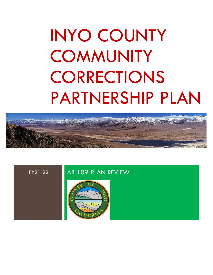# INYO COUNTY **COMMUNITY CORRECTIONS** PARTNERSHIP PLAN



FY21-22 AB 109-PLAN REVIEW

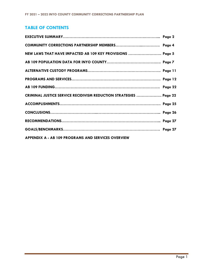### **TABLE OF CONTENTS**

|                                                                   | Page 4  |
|-------------------------------------------------------------------|---------|
| NEW LAWS THAT HAVE IMPACTED AB 109 KEY PROVISIONS  Page 5         |         |
|                                                                   |         |
|                                                                   |         |
|                                                                   |         |
|                                                                   | Page 22 |
| CRIMINAL JUSTICE SERVICE RECIDIVISM REDUCTION STRATEGIES  Page 22 |         |
|                                                                   |         |
|                                                                   |         |
|                                                                   |         |
|                                                                   |         |
| APPENDIX A - AB 109 PROGRAMS AND SERVICES OVERVIEW                |         |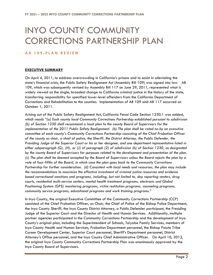## INYO COUNTY COMMUNITY CORRECTIONS PARTNERSHIP PLAN

**A B 1 0 9 - P L A N R E V I E W**

#### **EXECUTIVE SUMMARY**

On April 4, 2011, to address overcrowding in California's prisons and to assist in alleviating the state's financial crisis, the Public Safety Realignment Act (Assembly Bill 109) was signed into law. AB 109, which was subsequently revised by Assembly Bill 117 on June 29, 2011, represented what is widely viewed as the single, broadest change to California criminal justice in the history of the state, transferring responsibility for specified lower-level offenders from the California Department of Corrections and Rehabilitation to the counties. Implementation of AB 109 and AB 117 occurred on October 1, 2011.

Arising out of the Public Safety Realignment Act, California Penal Code Section 1230.1 was added, which reads *"(a) Each county local Community Corrections Partnership established pursuant to subdivision (b) of Section 1230 shall recommend a local plan to the county Board of Supervisors for the implementation of the 2011 Public Safety Realignment. (b) The plan shall be voted on by an executive committee of each county's Community Corrections Partnership consisting of the Chief Probation Officer of the county as chair, a chief of police, the Sheriff, the District Attorney, the Public Defender, the Presiding Judge of the Superior Court or his or her designee, and one department representative listed in either subparagraph (G), (H), or (J) of paragraph (2) of subdivision (b) of Section 1230, as designated by the county Board of Supervisors for purposes related to the development and presentation of the plan. (c) The plan shall be deemed accepted by the Board of Supervisors unless the Board rejects the plan by a vote of four-fifths of the Board, in which case the plan goes back to the Community Corrections Partnership for further consideration. (d) Consistent with local needs and resources, the plan may include the recommendations to maximize the effective investment of criminal justice resources and evidence based correctional sanctions and programs, including, but not limited to, day reporting centers, drug courts, residential multi-service centers, mental health treatment programs, electronic and Global Positioning System (GPS) monitoring programs, victim restitution programs, counseling programs, community service programs, educational programs and work training programs."*

In Inyo County, the original Executive Committee of the Community Corrections Partnership (CCP) consisted of the Chief Probation Officer, as Chair, the Chief of Police of the Bishop Police Department, the Inyo County Sheriff, the Inyo County District Attorney, a Public Defender participant, the Presiding Judge of the Superior Court and the Director of Health and Human Services. Additionally, multiple partner agencies participated in the Community Corrections Partnership and the development of Inyo County's original plan, including the Superintendent of Schools, Toiyabe Family Services, members of Inyo County Health and Human Services, Probation Department personnel, the Bishop Paiute Tribe Career Development Center, Superior Court personnel, Sheriff's Department personnel, District Attorney's Office personnel, and the Inyo County Chief Administrative Officer. On April 10, 2012, the original Inyo County Community Corrections Partnership Plan was unanimously approved by the Inyo County Board of Supervisors.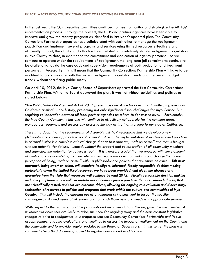In the last year, the CCP Executive Committee continued to meet to monitor and strategize the AB 109 implementation process. Through the present, the CCP and partner agencies have been able to improve and grow the reentry program as identified in last year's updated plan. The Community Corrections Partnership agencies have collaborated with each other to manage the realignment population and implement several programs and services using limited resources effectively and efficiently. In part, the ability to do this has been related to a relatively stable realignment population in Inyo County to date, in addition to the commitment and dedication of agency personnel. As we continue to operate under the requirements of realignment, the long-term jail commitments continue to be challenging, as do the caseloads and supervision requirements of both probation and treatment personnel. Necessarily, this will mean that the Community Corrections Partnership Plan will have to be modified to accommodate both the current realignment population trends and the current budget trends, without sacrificing public safety.

On April 10, 2012, the Inyo County Board of Supervisors approved the first Community Corrections Partnership Plan. While the Board approved the plan, it was not without guidelines and policies as stated below:

*"The Public Safety Realignment Act of 2011 presents as one of the broadest, most challenging events in California criminal justice history, presenting not only significant fiscal challenges for Inyo County, but requiring collaboration between all local partner agencies on a here-to-for unseen level. Fortunately, the Inyo County Community has and will continue to effectively collaborate for the common good, manage our resources, and successfully preserve the way of life that is unique to our side of California.* 

*There is no doubt that the requirements of Assembly Bill 109 necessitate that we develop a new philosophy and a new approach to local criminal justice. The implementation of evidence-based practices in criminal justice is a complete cultural change that at first appears, "soft on crime," and that is fraught with the potential for failure. Indeed, without the support and collaboration of all community members and agencies, the potential for failure is real. It is therefore crucial that we proceed with some amount of caution and responsibility, that we refrain from reactionary decision making and change the former perception of being, "soft on crime," with a philosophy and policies that are smart on crime. This new approach, being smart on crime, will mandate intelligent, informed, fiscally responsible decision making, particularly given the limited fiscal resources we have been provided, and given the absence of a guarantee from the state that resources will continue beyond 2012. Fiscally responsible decision making and policy implementation will necessitate use of criminal justice practices that are research driven, that are scientifically tested, and that are outcome driven, allowing for ongoing re-evaluation and if necessary, redirection of resources to policies and programs that work within the culture and communities of Inyo County. This will include the ongoing use of a validated risk assessment to target the specific criminogenic risks and needs of offenders and to match those risks and needs with appropriate services.*

*With respect to the plan itself and the proposals and recommendations therein, given the vast number of unknown variables that are likely to arise, the need for ongoing study and the near constant legislative changes relative to realignment, it is proposed that the Community Corrections Partnership and its subgroups conduct ongoing evaluations and meetings to discuss the impact of realignment on the County and the community and to provide regular updates to the Board of Supervisors. In this sense, the plan will continue to be a fluid document, subject to regular revision and modification.*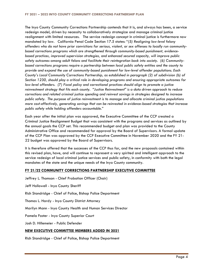The Inyo County Community Corrections Partnership contends that it is, and always has been, a service redesign model, driven by necessity to collaboratively strategize and manage criminal justice realignment with limited resources. The service redesign concept in criminal justice is furthermore now mandated by law. California Penal Code Section 17.5 states: "*(5) Realigning low-level felony offenders who do not have prior convictions for serious, violent, or sex offenses to locally run communitybased corrections programs which are strengthened through community-based punishment, evidencebased practices, improved supervision strategies, and enhanced secured capacity, will improve public safety outcomes among adult felons and facilitate their reintegration back into society. (6) Communitybased corrections programs require a partnership between local public safety entities and the county to provide and expand the use of community-based punishment for low-level offender populations. Each County's Local Community Corrections Partnership, as established in paragraph (2) of subdivision (b) of Section 1230, should play a critical role in developing programs and ensuring appropriate outcomes for low-level offenders. (7) Fiscal policy and correctional practices should align to promote a justice reinvestment strategy that fits each county. "Justice Reinvestment" is a data driven approach to reduce corrections and related criminal justice spending and reinvest savings in strategies designed to increase public safety. The purpose of justice reinvestment is to manage and allocate criminal justice populations more cost-effectively, generating savings that can be reinvested in evidence-based strategies that increase public safety while holding offenders accountable."*

Each year after the initial plan was approved, the Executive Committee of the CCP created a Criminal Justice Realignment Budget that was consistent with the programs and services as outlined by the annual goals the CCP set. This recommended budget and plan was provided to the County Administrative Office and recommended for approval by the Board of Supervisors. A formal update of the CCP Plan was approved by the CCP Executive Committee in November 2020 and the FY 21- 22 budget was approved by the Board of Supervisors.

It is therefore offered that the successes of the CCP thus far, and the new proposals contained within this revised plan, have, and will continue to represent a very spirited and intelligent approach to the service redesign of local criminal justice services and public safety, in conformity with both the legal mandates of the state and the unique needs of the Inyo County community.

#### **FY 21/22 COMMUNITY CORRECTIONS PARTNERSHIP EXECUTIVE COMMITTEE**

Jeffrey L. Thomson - Chief Probation Officer (Chair) Jeff Hollowell - Inyo County Sheriff Rich Standridge - Chief of Police, Bishop Police Department Thomas L. Hardy - Inyo County District Attorney Marilyn Mann - Inyo County Health and Human Services Director Pamela Foster - Inyo County Superior Court Josh D. Hillemeier - Public Defender **NEW EXECUTIVE COMMITTEE MEMBERS ADDED IN 2021**

Rich Standridge - Chief of Police, Bishop Police Department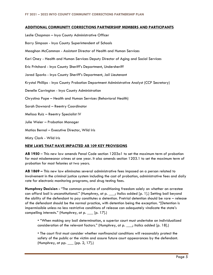#### **ADDITIONAL COMMUNITY CORRECTIONS PARTNERSHIP MEMBERS AND PARTICIPANTS**

Leslie Chapman – Inyo County Administrative Officer Barry Simpson - Inyo County Superintendent of Schools Meaghan McCamman - Assistant Director of Health and Human Services Keri Oney - Health and Human Services Deputy Director of Aging and Social Services Eric Pritchard - Inyo County Sheriff's Department, Undersheriff Jared Sparks - Inyo County Sheriff's Department, Jail Lieutenant Krystal Phillips - Inyo County Probation Department Administrative Analyst (CCP Secretary) Denelle Carrington - Inyo County Administration Chrystina Pope – Health and Human Services (Behavioral Health) Sarah Downard – Reentry Coordinator Melissa Ruiz – Reentry Specialist IV Julie Weier – Probation Manager Matias Bernal – Executive Director, Wild Iris

Misty Clark - Wild Iris

#### **NEW LAWS THAT HAVE IMPACTED AB 109 KEY PROVISIONS**

**AB 1950** – This new law amends Penal Code section 1203a1 to set the maximum term of probation for most misdemeanor crimes at one year. It also amends section 1203.1 to set the maximum term of probation for most felonies at two years.

**AB 1869 –** This new law eliminates several administrative fees imposed on a person related to involvement in the criminal justice system including the cost of probation, administrative fees and daily rate for electronic monitoring programs, and drug testing fees.

**Humphrey Decision -** "The common practice of conditioning freedom solely on whether an arrestee can afford bail is unconstitutional." (Humphrey, at p. \_\_\_; italics added [p. 1].) Setting bail beyond the ability of the defendant to pay constitutes a detention. Pretrial detention should be rare – release of the defendant should be the normal practice, with detention being the exception. "[Detention is impermissible unless no less restrictive conditions of release can adequately vindicate the state's compelling interests." (Humphrey, at p. \_\_\_ [p. 17].)

• "When making any bail determination, a superior court must undertake an individualized consideration of the relevant factors." (Humphrey, at p. \_\_\_; italics added [p. 18].)

• The court first must consider whether nonfinancial conditions will reasonably protect the safety of the public or the victim and assure future court appearances by the defendant. (Humphrey, at pp. \_\_\_ [pp. 2, 17].)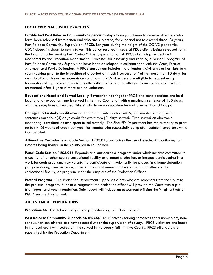#### **LOCAL CRIMINAL JUSTICE PRACTICES**

**Established Post Release Community Supervision**-Inyo County continues to receive offenders who have been released from prison and who are subject to, for a period not to exceed three (3) years, Post Release Community Supervision (PRCS). Lat year during the height of the COIVD pandemic, CDCR closed its doors to new intakes. This policy resulted in several PRCS clients being released form the local jail after serving their "prison" time. Supervision of all PRCS clients is provided and monitored by the Probation Department. Processes for assessing and refining a person's program of Post Release Community Supervision have been developed in collaboration with the Court, District Attorney, and Public Defenders. A PRCS agreement includes the offender waiving his or her right to a court hearing prior to the imposition of a period of "flash incarceration" of not more than 10 days for any violation of his or her supervision conditions. PRCS offenders are eligible to request early termination of supervision at six (6) months with no violations resulting in incarceration and must be terminated after 1 year if there are no violations.

**Revocations Heard and Served Locally**-Revocation hearings for PRCS and state parolees are held locally, and revocation time is served in the Inyo County jail with a maximum sentence of 180 days, with the exceptions of paroled "lifers" who have a revocation term of greater than 30 days.

**Changes to Custody Credits**-Pursuant to Penal Code Section 4019, jail inmates serving prison sentences earn four (4) days credit for every two (2) days served. Time served on electronic monitoring is credited as time spent in jail custody. The Sheriff's Department has the authority to grant up to six (6) weeks of credit per year for inmates who successfully complete treatment programs while incarcerated.

**Alternative Custody**-Penal Code Section 1203.018 authorizes the use of electronic monitoring for inmates being housed in the county jail in lieu of bail.

**Penal Code Section 1203.016**-Expands and authorizes a program under which inmates committed to a county jail or other county correctional facility or granted probation, or inmates participating in a work furlough program, may voluntarily participate or involuntarily be placed in a home detention program during their sentence, in lieu of their confinement in the county jail or other county correctional facility, or program under the auspices of the Probation Officer.

**Pretrial Program** – The Probation Department supervises clients who are released from the Court to the pre-trial program. Prior to arraignment the probation officer will provide the Court with a pretrial report and recommendation. Said report will include an assessment utilizing the Virginia Pretrial Risk Assessment Instrument.

#### **AB 109 TARGET POPULATIONS**

**Probation**-AB 109 did not change how probation is granted or revoked.

**Post Release Community Supervision (PRCS)**-CDCR inmates serving sentences for a non-violent, nonserious, non-sex offense are now released under the supervision of county. PRCS violations are heard in the local court with custodial time served in the county jail. In Inyo County, PRCS offenders are supervised by the Probation Department.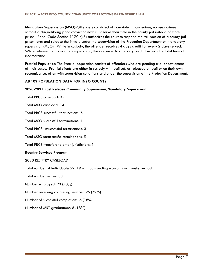**Mandatory Supervision (MSO)**-Offenders convicted of non-violent, non-serious, non-sex crimes without a disqualifying prior conviction now must serve their time in the county jail instead of state prison. Penal Code Section 1170(h)(5) authorizes the court to suspend the tail portion of a county jail prison term and release the inmate under the supervision of the Probation Department on mandatory supervision (MSO). While in custody, the offender receives 4 days credit for every 2 days served. While released on mandatory supervision, they receive day for day credit towards the total term of incarceration.

**Pretrial Population**-The Pretrial population consists of offenders who are pending trial or settlement of their cases. Pretrial clients are either in custody with bail set, or released on bail or on their own recognizance, often with supervision conditions and under the supervision of the Probation Department.

#### **AB 109 POPULATION DATA FOR INYO COUNTY**

Total PRCS caseload: 35

#### **2020-2021 Post Release Community Supervision/Mandatory Supervision**

Total MSO caseload: 14 Total PRCS successful terminations: 6 Total MSO successful terminations: 1 Total PRCS unsuccessful terminations: 3 Total MSO unsuccessful terminations: 5 Total PRCS transfers to other jurisdictions: 1 **Reentry Services Program** 2020 REENTRY CASELOAD Total number of Individuals: 52 (19 with outstanding warrants or transferred out) Total number active: 33 Number employed: 23 (70%) Number receiving counseling services: 26 (79%) Number of successful completions: 6 (18%) Number of MRT graduations: 6 (18%)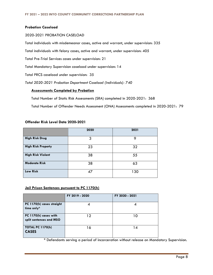#### **Probation Caseload**

#### 2020-2021 PROBATION CASELOAD

Total individuals with misdemeanor cases, active and warrant, under supervision: 335

Total individuals with felony cases, active and warrant, under supervision: 405

Total Pre-Trial Services cases under supervision: 21

Total Mandatory Supervision caseload under supervision: 14

Total PRCS caseload under supervision: 35

*Total 2020-2021 Probation Department Caseload (Individuals): 740*

#### **Assessments Completed by Probation**

Total Number of Static Risk Assessments (SRA) completed in 2020-2021: 368

Total Number of Offender Needs Assessment (ONA) Assessments completed in 2020-2021: 79

#### **Offender Risk Level Data 2020-2021**

|                           | 2020 | 2021 |
|---------------------------|------|------|
| <b>High Risk Drug</b>     | 3    | Q    |
| <b>High Risk Property</b> | 23   | 32   |
| <b>High Risk Violent</b>  | 38   | 55   |
| <b>Moderate Risk</b>      | 38   | 63   |
| Low Risk                  |      | 130  |

#### **Jail Prison Sentences pursuant to PC 1170(h)**

|                                                  | FY 2019 - 2020 | FY 2020 - 2021 |
|--------------------------------------------------|----------------|----------------|
| PC 1170(h) cases straight<br>time only*          |                |                |
| PC 1170(h) cases with<br>split sentences and MSO | 12             | 10             |
| <b>TOTAL PC 1170(h)</b><br><b>CASES</b>          | 16             | 14             |

\* Defendants serving a period of incarceration without release on Mandatory Supervision.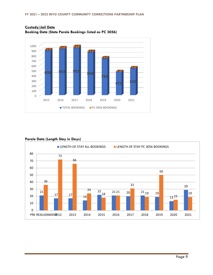



#### **Parole Data (Length Stay in Days)**

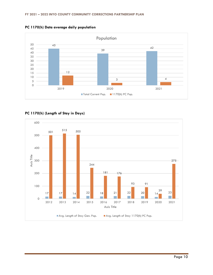

**PC 1170(h) Data average daily population**

**PC 1170(h) (Length of Stay in Days)**

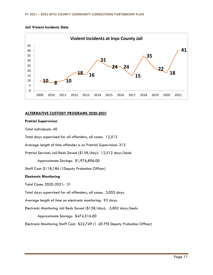#### **Jail Violent Incidents Data**



#### **ALTERNATIVE CUSTODY PROGRAMS 2020-2021**

#### **Pretrial Supervision**

Total individuals: 40

Total days supervised for all offenders, all cases: 12,512

Average length of time offender is on Pretrial Supervision: 313

Pretrial Services Jail Beds Saved (\$158/day): 12,512 days/beds.

Approximate Savings: \$1,976,896.00

Staff Cost: \$118,186 (1Deputy Probation Officer)

#### **Electronic Monitoring**

Total Cases 2020-2021: 31

Total days supervised for all offenders, all cases: 3,002 days.

Average length of time on electronic monitoring: 93 days.

Electronic Monitoring Jail Beds Saved (\$158/day): 3,002 days/beds.

Approximate Savings: \$474,316.00

Electronic Monitoring Staff Cost: \$22,749 (1 .20 FTE Deputy Probation Officer)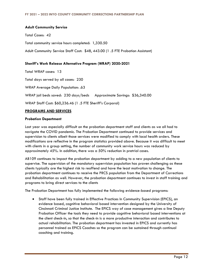#### **Adult Community Service**

Total Cases: 42 Total community service hours completed: 1,330.50 Adult Community Service Staff Cost: \$48, 443.00 (1 .5 FTE Probation Assistant)

#### **Sheriff's Work Release Alternative Program (WRAP) 2020-2021**

Total WRAP cases: 13

Total days served by all cases: 230

WRAP Average Daily Population: .63

WRAP jail beds saved: 230 days/beds Approximate Savings: \$36,340.00

WRAP Staff Cost: \$60,236.46 (1 .5 FTE Sheriff's Corporal)

#### **PROGRAMS AND SERVICES**

#### **Probation Department**

Last year was especially difficult on the probation department staff and clients as we all had to navigate the COVID pandemic. The Probation Department continued to provide services and supervision to clients albeit those services were modified to comply with local health orders. These modifications are reflective in the program statistics provided above. Because it was difficult to meet with clients in a group setting, the number of community work service hours was reduced by approximately 45%. In addition, there was a 50% reduction in pretrial cases.

AB109 continues to impact the probation department by adding to a new population of clients to supervise. The supervision of the mandatory supervision population has proven challenging as these clients typically are the highest risk to reoffend and have the least motivation to change. The probation department continues to receive the PRCS population from the Department of Corrections and Rehabilitation as well. However, the probation department continues to invest in staff training and programs to bring direct services to the clients

The Probation Department has fully implemented the following evidence-based programs:

• Staff have been fully trained in Effective Practices In Community Supervision (EPICS), an evidence based, cognitive behavioral based intervention designed by the University of Cincinnati Criminal Justice Institute. The EPICS way of case management gives a line Deputy Probation Officer the tools they need to provide cognitive behavioral based interventions at the client check-in, so that the check-in is a more productive interaction and contributes to actual rehabilitation. The probation department has invested in EPICS and currently has personnel trained as EPICS Coaches so the program can be sustained through continual coaching and training.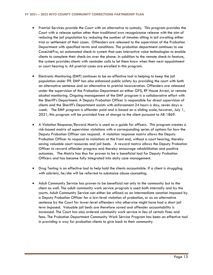- Pretrial Services provide the Court with an alternative to custody. This program provides the Court with a release option other than traditional own recognizance release with the aim of reducing the jail population by reducing the number of inmates sitting in jail awaiting either trial or settlement of their cases. Offenders are released to the supervision of the Probation Department with specified terms and conditions. The probation department continues to use CaseLinkPro, an automated check-in system that uses interactive voice technologies to enable clients to complete their check-ins over the phone. In addition to the remote check-in feature, the system provides clients with reminder calls to let them know when their next appointment or court hearing is. All pretrial cases are enrolled in this program.
- Electronic Monitoring (EMP) continues to be an effective tool in helping to keep the jail population under 99. EMP has also enhanced public safety by providing the court with both an alternative sentence and an alternative to pretrial incarceration. Offenders are released under the supervision of the Probation Department on either GPS, RF House Arrest, or remote alcohol monitoring. Ongoing management of the EMP program is a collaborative effort with the Sheriff's Department. A Deputy Probation Officer is responsible for direct supervision of clients and the Sheriff's Department assists with enforcement 24 hours a day, seven days a week. The EMP program is offender paid and is based on a sliding scale, however, July 1, 2021, this program will be provided free of charge to the client pursuant to AB 1869.
- A Violation Response/Reward Matrix is used as a guide for officers. This program creates a risk-based matrix of supervision violations with a corresponding series of options for how the Deputy Probation Officer can respond. A violation response matrix allows the Deputy Probation Officer to respond to violations at the front end, without a court hearing, thereby saving valuable court resources and jail beds. A reward matrix allows the Deputy Probation Officer to reward offender progress and thereby encourage rehabilitation and positive outcomes. The Matrix has thus far proven to be a beneficial tool for Deputy Probation Officers and has become fully integrated into daily case management.
- Drug Testing is an effective tool to help hold the clients accountable. If a client is struggling with sobriety, he/she will be referred to substance abuse counseling.
- Adult Community Service has proven to be beneficial not only to the community but to the client as well. The adult community work service program is used both internally and by the courts. Adult Community Service can either be utilized as an intermediate sanction imposed by a Deputy Probation Officer for a low-level violation of probation, or as an alternative sentence by the Court for lower-level offenders who otherwise might have had a short jail term imposed. Valuable jail beds are therefore saved and offender accountability is increased. The Court has also ordered community work service in lieu of certain fines and fees. The Probation Department Community Work Service Program has been an effective tool in providing a way for probation clients to give back to their community.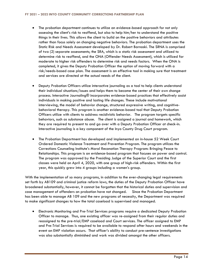- The probation department continues to utilize an evidence-based approach for not only assessing the client's risk to reoffend, but also to help him/her to understand the positive things in their lives. This allows the client to build on the positive behaviors and attributes rather than focus solely on changing negative behaviors. The probation department uses the Static Risk and Needs Assessment developed by Dr. Robert Barnoski. The SRNA is comprised of two (2) separate assessments; the SRA, which is a static risk assessment and utilized to determine risk to reoffend, and the ONA (Offender Needs Assessment), which is utilized for moderate to higher risk offenders to determine risk and needs factors. When the ONA is completed, it gives the Deputy Probation Officer the option of moving forward with a risk/needs-based case plan. The assessment is an effective tool in making sure that treatment and services are directed at the actual needs of the client.
- Deputy Probation Officers utilize interactive journaling as a tool to help clients understand their individual situations/issues and helps them to become the center of their own change process. Interactive Journaling® incorporates evidence-based practices that effectively assist individuals in making positive and lasting life changes. These include motivational interviewing, the model of behavior change, structured expressive writing, and cognitivebehavioral therapy. This program is another evidence-based tool that Deputy Probation Officers utilize with clients to address recidivistic behavior. The program targets specific behaviors, such as substance abuse. The client is assigned a journal and homework, which they are required to present to and go over with a Deputy Probation Officer at check-in. Interactive journaling is a key component of the Inyo County Drug Court program.
- The Probation Department has developed and implemented an in-house 52 Week Court Ordered Domestic Violence Treatment and Prevention Program. The program utilizes the Corrections Counseling Institute's Moral Reconation Therapy Program: Bringing Peace to Relationships. This program is an evidence-based program that focuses on power and control. The program was approved by the Presiding Judge of the Superior Court and the first classes were held on April 4, 2020, with one group of high-risk offenders. Within the first year, this quickly grew into 4 groups including a women's group.

With the implementation of so many programs, in addition to the ever-changing legal requirements set forth by AB109 and criminal justice reform laws, the duties of the Deputy Probation Officer have broadened substantially, however, it cannot be forgotten that the historical duties and supervision and case management of offenders on probation have not changed. Since the Probation Department has been able to manage AB 109 and the new programs of necessity, the Department was required to make significant changes to how the total caseload is supervised and managed.

• Electronic Monitoring and Pre-Trial Services programs require a dedicated Deputy Probation Officer to manage. Thus, one existing officer was re-assigned from their regular duties and reassigned to the pre-trial/EMP caseload and Court services. The officer assigned to EMP and Pre-Trial Services is required to be available to respond after hours and weekends in the event an EMP violation occurs. That officer's ability to conduct pre-sentence investigations was also substantially diminished and work was divided amongst the other officers.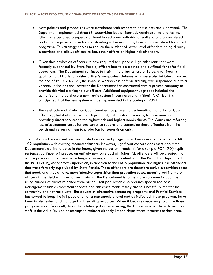- New policies and procedures were developed with respect to how clients are supervised. The Department implemented three (3) supervision levels: Banked, Administrative and Active. Clients are assigned a supervision level based upon both risk to reoffend and uncompleted probation requirements, such as outstanding victim restitution, fines, or uncompleted treatment programs. This strategy serves to reduce the number of lower-level offenders being directly supervised and allows officers to focus their efforts on higher risk offenders.
- Given that probation officers are now required to supervise high risk clients that were formerly supervised by State Parole, officers had to be trained and outfitted for safer field operations. The Department continues to train in field tactics, use of force, and firearms qualification. Efforts to bolster officer's weaponless defense skills were also initiated. Toward the end of FY 2020-2021, the in-house weaponless defense training was suspended due to a vacancy in the position, however the Department has contracted with a private company to provide this vital training to our officers. Additional equipment upgrades included the authorization to purchase a new radio system in partnership with Sheriff's Office. It is anticipated that the new system will be implemented in the Spring of 2021.
- The re-structure of Probation Court Services has proven to be beneficial not only for Court efficiency, but it also allows the Department, with limited resources, to focus more on providing direct services to the highest risk and highest needs clients. The Courts are referring less misdemeanor cases for pre-sentence reports and sentencing those offenders from the bench and referring them to probation for supervision only.

The Probation Department has been able to implement programs and services and manage the AB 109 population with existing resources thus far. However, significant concern does exist about the Department's ability to do so in the future, given the current trends. If, for example PC 1170(h) split sentences continue to increase, an entirely new caseload of higher risk offenders will be created that will require additional service redesign to manage. It is the contention of the Probation Department the PC 1170(h), Mandatory Supervision, in addition to the PRCS population, are higher risk offenders that were formerly supervised by State Parole. Those offenders are therefore active supervision cases that need, and should have, more intensive supervision than probation cases, meaning putting more officers in the field with specialized training. The Department is furthermore concerned about the rising number of clients released from prison. That population also requires specialized case management such as treatment services and risk assessments if they are to successfully reenter the community and not recidivate. The advent of alternative sentencing programs and Pretrial Services has served to keep the jail population at a manageable level and as indicated, those programs have been implemented and managed with existing resources. When it becomes necessary to utilize those programs more frequently to address future jail over-crowding, the Department will have to increase staff in the Adult Division or attempt to redirect already limited department resources to that area.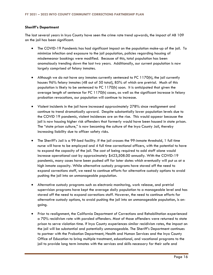#### **Sheriff's Department**

The last several years in Inyo County have seen the crime rate trend upwards, the impact of AB 109 on the jail has been significant.

- The COVID-19 Pandemic has had significant impact on the population make-up of the jail. To minimize infection and exposure to the jail population, policies regarding housing of misdemeanor bookings were modified. Because of this, total population has been anomalously trending down the last two years. Additionally, our current population is now largely comprised of felony inmates.
- Although we do not have any inmates currently sentenced to PC 1170(h), the jail currently houses 96% felony inmates (48 out of 50 total), 85% of which are pretrial. Much of this population is likely to be sentenced to PC 1170(h) soon. It is anticipated that given the average length of sentence for PC 1170(h) cases, as well as the significant increase in felony probation revocations, our population will continue to increase.
- Violent incidents in the jail have increased approximately 278% since realignment and continue to trend dramatically upward. Despite substantially lower population levels due to the COVID 19 pandemic, violent incidences are on the rise. This would appear because the jail is now housing higher risk offenders that formerly would have been housed in state prison. The "state prison culture," is now becoming the culture of the Inyo County Jail, thereby increasing liability due to officer safety risks.
- The Sheriff's Jail is a 99-bed facility. If the jail crosses the 99-inmate threshold, 1 full time nurse will have to be employed and 4 full time correctional officers, with the potential to have to expand the capacity of the jail. The cost of being required to add staff alone would increase operational cost by approximately \$423,508.00 annually. With the COVID-19 pandemic, many cases have been pushed off for later dates which eventually will put us at a high inmate capacity. While alternative custody programs have staved off the need to expand corrections staff, we need to continue efforts for alternative custody options to avoid pushing the jail into an unmanageable population.
- Alternative custody programs such as electronic monitoring, work release, and pretrial supervision programs have kept the average daily population to a manageable level and has staved off the need to expand corrections staff. However, the need to continue efforts for alternative custody options, to avoid pushing the jail into an unmanageable population, is ongoing.
- Prior to realignment, the California Department of Corrections and Rehabilitation experienced a 70% recidivism rate with paroled offenders. Most of those offenders were returned to state prison to serve violation time. If Inyo County experiences similar recidivism rates, the impact on the jail will be substantial and potentially unmanageable. The Sheriff's Department continues to partner with the Probation Department, Health and Human Services and the Inyo County Office of Education to bring multiple treatment, educational, and vocational programs to the jail to provide long term inmates with the services and skills necessary for their safe and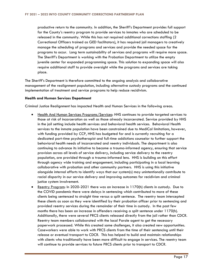productive return to the community. In addition, the Sheriff's Department provides full support for the County's reentry program to provide services to inmates who are scheduled to be released in the community. While this has not required additional corrections staffing (2 Correctional Officers trained as GED facilitators), it has required jail managers to creatively manage the scheduling of programs and services and provide the needed space for the programs to occur. Long term sustainability of services and programs will require more space. The Sheriff's Department is working with the Probation Department to utilize the empty juvenile center for expanded programming space. This solution to expanding space will also require additional staff to provide oversight while the programs and services are taking place.

The Sheriff's Department is therefore committed to the ongoing analysis and collaborative management of the realignment population, including alternative custody programs and the continued implementation of treatment and service programs to help reduce recidivism.

#### **Health and Human Services Department**

Criminal Justice Realignment has impacted Health and Human Services in the following areas.

- Health And Human Services Programs/Services: HHS continues to provide targeted services to those at risk of incarceration as well as those already incarcerated. Service provided by HHS in the jail setting include health services and behavioral health services. Behavioral Health services to the inmate population have been constrained due to MediCal limitations, however, with funding provided by CCP, HHS has budgeted for and is currently recruiting for a dedicated part-time psychotherapist and full-time addictions counselor to further support the behavioral health needs of incarcerated and reentry individuals. The department is also continuing to advance its initiative to become a trauma-informed agency, ensuring that service provision across all levels of service delivery, including service delivery to the reentry population, are provided through a trauma-informed lens. HHS is building on this effort through agency wide training and engagement, including participating in a local learning collaborative with probation and other community partners. HHS is using this initiative alongside internal efforts to identify ways that our system(s) may unintentionally contribute to racial disparity in our service delivery and improving outcomes for recidivism and criminal justice system involvement.
- Reentry Program: In 2020-2021 there was an increase in 1170(h) clients in custody. Due to the COVID pandemic there were delays in sentencing which contributed to more of these clients being sentenced to straight time versus a split sentence. The reentry team intercepted these clients as soon as they were identified by their probation officer prior to sentencing and provided reentry services during the remainder of their time in custody. In the past few months there has been an increase in offenders receiving a split sentence under 1170(h). Additionally, there were several PRCS clients released directly from the jail rather than CDCR. Reentry team members collaborated with the local Parole agent to get the necessary paperwork processed. While this created some challenges, it also created new opportunities. Caseworkers were able to work with PRCS clients from the time of their sentencing until their release or eventual transport to CDCR. This has helped to build and maintain relationships with clients who traditionally have been more difficult to engage in services. The reentry team will continue to provide services to future PRCS clients prior to transport to CDCR.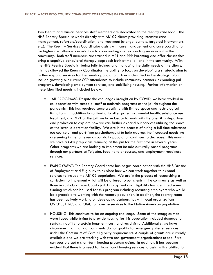Two Health and Human Services staff members are dedicated to the reentry case load. The HHS Reentry Specialist works directly with AB109 clients providing intensive case management, referrals/coordination, and treatment (change journals, targeted interventions, etc.). The Reentry Services Coordinator assists with case management and care coordination for higher risk offenders in addition to coordinating and expanding services within the community. Both staff members are trained in MRT and PPP Parenting and offer classes that bring a cognitive behavioral therapy approach both at the jail and in the community. With the HHS Reentry Specialist being fully trained and managing the daily needs of the clients, this has allowed the Reentry Coordinator the ability to focus on developing a strategic plan to further expand services for the reentry population. Areas identified in the strategic plan include growing our current CCP attendance to include community partners, expanding jail programs, developing employment services, and stabilizing housing. Further information on these identified needs is included below.

- o JAIL PROGRAMS: Despite the challenges brought on by COVID, we have worked in collaboration with custodial staff to maintain programs at the jail throughout the pandemic. This has required some creativity with limited space and technological limitations. In addition to continuing to offer parenting, mental health, substance use treatment, and MRT at the jail, we have begun to work with the Sherriff's department and probation to explore how we can further expand our services utilizing the space at the juvenile detention facility. We are in the process of hiring a full-time substance use counselor and part-time psychotherapist to help address the increased needs we are seeing in the jail even as our daily population continues to decrease. This month we have a GED prep class resuming at the jail for the first time in several years. Other programs we are looking to implement include culturally based programs through our partners at Toiyabe, food handler courses, and employment readiness services.
- o EMPLOYMENT: The Reentry Coordinator has begun coordination with the HHS Division of Employment and Eligibility to explore how we can work together to expand services to include the AB109 population. We are in the process of researching a curriculum to implement which will be offered to our clients in the community as well as those in custody at Inyo County jail. Employment and Eligibility has identified some funding which can be used for this program including recruiting employers who would be agreeable to working with the reentry population. In addition, the reentry team has been actively working on developing partnerships with local organizations OVCDC, TERO, and CIMC to increase services to the Native American population.
- o HOUSING: This continues to be an ongoing challenge. Some of the struggles that were faced while trying to provide housing for this population included damage to rentals, inability to sustain long-term cost, and recidivism. Additionally, we have discovered that many of our clients do not qualify for emergency shelter services under the Continuum of Care eligibility requirements. A couple of grants are currently available and we are working with two non-government organizations to see if we can possibly get a short-term housing program going. In addition, it has become evident that there is a need for transitional housing services to assist with stabilization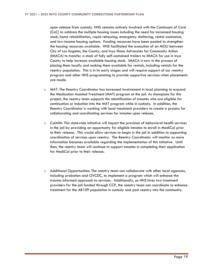upon release from custody. HHS remains actively involved with the Continuum of Care (CoC) to address the multiple housing issues including the need for increased housing stock, home rehabilitation, rapid rehousing, emergency sheltering, rental assistance, and low-income housing options. Funding resources have been pooled to strengthen the housing resources available. HHS facilitated the execution of an MOU between City of Los Angeles, the County, and Inyo Mono Advocates for Community Action (IMACA) to transfer a stock of fully self-contained trailers to IMACA for use in Inyo County to help increase available housing stock. IMACA is now in the process of placing them locally and making them available for rentals, including rentals for the reentry population. This is in its early stages and will require support of our reentry program and other HHS programming to provide supportive services when placements are made.

- o MAT: The Reentry Coordinator has increased involvement in local planning to expand the Medication Assisted Treatment (MAT) program at the jail. As champions for this project, the reentry team supports the identification of inmates who are eligible for continuation or induction into the MAT program while in custody. In addition, the Reentry Coordinator is working with local treatment providers to create a process for collaborating and coordinating services for inmates upon release.
- o CalAIM: This statewide initiative will impact the provision of behavioral health services in the jail by providing an opportunity for eligible inmates to enroll in MediCal prior to their release. This would allow services to begin in the jail in addition to supporting coordination of services upon reentry. The Reentry Coordinator will monitor as more information becomes available regarding the implementation of this initiative. Until then, the reentry team will continue to support inmates in completing their application for MediCal prior to their release.
- o Additional Opportunities: The reentry team can collaborate with other local agencies, including probation and OVCDC, to implement a program which will enhance the trauma informed approach to services. Additionally, as HHS hires two treatment providers for the jail funded through CCP, the reentry team can coordinate to enhance treatment for the AB109 population in custody and post reentry into the community.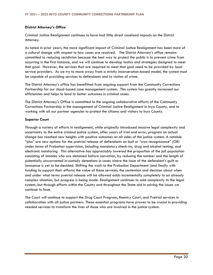#### **District Attorney's Office**

Criminal Justice Realignment continues to have had little direct caseload impacts on the District Attorney.

As noted in prior years, the more significant impact of Criminal Justice Realignment has been more of a cultural change with respect to how cases are resolved. The District Attorney's office remains committed to reducing recidivism because the best way to protect the public is to prevent crime from occurring in the first instance, and we will continue to develop tactics and strategies designed to meet that goal. However, the services that are required to meet that goal need to be provided by local service providers. As we try to move away from a strictly incarceration-based model, the system must be capable of providing services to defendants and to victims of crime.

The District Attorney's office has benefitted from ongoing support from the Community Corrections Partnership for our cloud-based case management system. This system has greatly increased our efficiencies and helps to lead to better outcomes in criminal cases.

The District Attorney's Office is committed to the ongoing collaborative efforts of the Community Corrections Partnership in the management of Criminal Justice Realignment in Inyo County, and to working with all our partner agencies to protect the citizens and visitors to Inyo County.

#### **Superior Court**

Through a variety of efforts in realignment, while originally introduced massive legal complexity and uncertainty to the entire criminal justice system, after years of trial and error, progress on actual change has reached new heights with positive outcomes on all sides of the justice system. A notable "plus" are new options for the pretrial release of defendants on bail or "own recognizance" (OR) under terms of Probation supervision, including mandatory check-ins, drug and alcohol testing, and electronic monitoring. This alternative has appreciably lowered the proportion of the jail population consisting of inmates who are detained before conviction, by reducing the number and the length of potentially unwarranted in-custody detentions in cases where the issue of the defendant's guilt or innocence is yet to be decided. Shifting the work to the Probation Department (and finally with funding to support their efforts) the value of these services, the contention and decision about when and under what terms pretrial release will be allowed adds incrementally completely to an already complex situation, but progress is being made. Realignment continues to add complexity to the legal system, but through efforts within the County and throughout the State aid in solving the issues we continue to face.

The Court will continue to support the Drug Court Program, Reentry Court, and Pretrial services in collaboration with all justice partners. These essential programs have proven to be crucial in providing needed services to transform the lives of those who are involved in the justice system.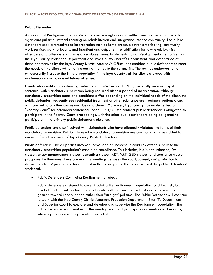#### **Public Defender**

As a result of Realignment, public defenders increasingly seek to settle cases in a way that avoids significant jail time, instead focusing on rehabilitation and integration into the community. The public defenders seek alternatives to incarceration such as home arrest, electronic monitoring, community work service, work furloughs, and inpatient and outpatient rehabilitation for low-level, low-risk offenders and offenders with substance abuse issues. Implementation of Realignment alternatives by the Inyo County Probation Department and Inyo County Sheriff's Department, and acceptance of these alternatives by the Inyo County District Attorney's Office, has enabled public defenders to meet the needs of the clients while not increasing the risk to the community. The parties endeavor to not unnecessarily increase the inmate population in the Inyo County Jail for clients charged with misdemeanor and low-level felony offenses.

Clients who qualify for sentencing under Penal Code Section 1170(h) generally receive a split sentence, with mandatory supervision being required after a period of incarceration. Although mandatory supervision terms and conditions differ depending on the individual needs of the client, the public defender frequently see residential treatment or other substance use treatment options along with counseling or other coursework being ordered. Moreover, Inyo County has implemented a "Reentry Court" for offenders sentenced under 1170(h). One contract public defender is obligated to participate in the Reentry Court proceedings, with the other public defenders being obligated to participate in the primary public defender's absence.

Public defenders are also involved with defendants who have allegedly violated the terms of their mandatory supervision. Petitions to revoke mandatory supervision are common and have added to amount of work required of Inyo County Public Defenders.

Public defenders, like all parties involved, have seen an increase in court reviews to supervise the mandatory supervision population's case plan compliance. This includes, but is not limited to, DV classes, anger management classes, parenting classes, ART, MRT, GED classes, and substance abuse programs. Furthermore, there are monthly meetings between the court, counsel, and probation to discuss the clients' progress or lack thereof in their case plans. This has increased the public defenders' workload.

**Public Defenders Continuing Realignment Strategy** 

Public defenders assigned to cases involving the realignment population, and low risk, low level offenders, will continue to collaborate with the parties involved and seek sentences geared toward rehabilitation rather than "straight" jail time. The Public Defender will continue to work with the Inyo County District Attorney, Probation Department, Sheriff's Department and Superior Court to explore and develop and supervise the Realignment population. The Public Defender is a member of the reentry team and participates in reentry court monthly, where updates on reentry clients is provided.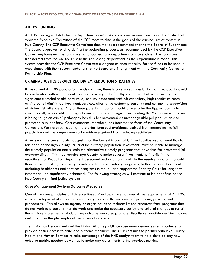#### **AB 109 FUNDING**

AB 109 funding is distributed to Departments and stakeholders unlike most counties in the State. Each year the Executive Committee of the CCP meet to discuss the goals of the criminal justice system in Inyo County. The CCP Executive Committee then makes a recommendation to the Board of Supervisors. The Board approves funding during the budgeting process, as recommended by the CCP Executive Committee; however, the funds are not allocated to a department or stakeholder. The funds are transferred from the AB109 Trust to the requesting department as the expenditure is made. This system provides the CCP Executive Committee a degree of accountability for the funds to be used in accordance with their recommendations to the Board and in alignment with the Community Correction Partnership Plan.

#### **CRIMINAL JUSTICE SERVICE RECIDIVISM REDUCTION STRATEGIES**

If the current AB 109 population trends continue, there is a very real possibility that Inyo County could be confronted with a significant fiscal crisis arising out of multiple arenas: Jail overcrowding; a significant custodial health care issue; liability associated with officer safety; high recidivism rates arising out of diminished treatment, services, alternative custody programs; and community supervision of higher risk offenders. Any of these potential situations could prove to be the tipping point into crisis. Fiscally responsible, intelligent criminal justice redesign, incorporating the "being smart on crime is being tough on crime" philosophy has thus far prevented an unmanageable jail population and promoted public safety. Cost avoidance, therefore, has become the focus of the Community Corrections Partnership, including the shorter-term cost avoidance gained from managing the jail population and the longer-term cost avoidance gained from reducing recidivism.

A review of the current data suggests that the largest impact of Criminal Justice Realignment thus far has been on the Inyo County Jail and the custody population. Investments must be made to manage the custody population and sustain the alternative custody programs that have thus far prevented jail overcrowding. This may require Inyo County to make several investments, primarily in the recruitment of Probation Department personnel and additional staff to the reentry program. Should those steps be taken, the ability to sustain alternative custody programs, better manage treatment (including healthcare) and services programs in the jail and support the Reentry Court for long term inmates will be significantly enhanced. The following strategies will continue to be beneficial to the Inyo County criminal justice system:

#### **Case Management System/Outcome Measures**

One of the core principles of Evidence Based Practice, as well as one of the requirements of AB 109, is the development of a means to constantly measure the outcomes of programs, policies, and procedures. This allows an agency or organization to redirect limited resources from programs that do not work to programs that do work and make the necessary policy and cultural changes to sustain them. A reliable means of obtaining outcome measures promotes fiscally responsible decision making and promotes the philosophy of being smart on crime.

The Probation Department and the District Attorney's Office case management systems continue to provide easier access to data and outcome measures. The CCP continues to partner with Inyo County Health and Human Services to take advantage of the HHS analyst team to help develop any new outcome metrics needed as well as to make any adjustments to the previous metrics.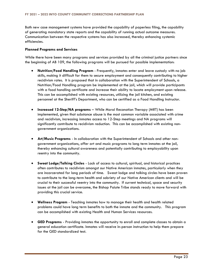Both new case management systems have provided the capability of paperless filing, the capability of generating mandatory state reports and the capability of running actual outcome measures. Communication between the respective systems has also increased, thereby enhancing systemic efficiencies.

#### **Planned Programs and Services**

While there have been many programs and services provided by all the criminal justice partners since the beginning of AB 109, the following programs will be pursued for possible implementation:

- **Nutrition/Food Handling Program** Frequently, inmates enter and leave custody with no job skills, making it difficult for them to secure employment and consequently contributing to higher recidivism rates. It is proposed that in collaboration with the Superintendent of Schools, a Nutrition/Food Handling program be implemented at the jail, which will provide participants with a food handling certificate and increase their ability to locate employment upon release. This can be accomplished with existing resources, utilizing the jail kitchen, and existing personnel at the Sheriff's Department, who can be certified as a Food Handling Instructor.
- **Increased 12-Step/NA programs** While Moral Reconation Therapy (MRT) has been implemented, given that substance abuse is the most common variable associated with crime and recidivism, increasing inmates access to 12-Step meetings and NA programs will significantly contribute to recidivism reduction. This can be accomplished with existing nongovernment organizations.
- **Art/Music Programs** In collaboration with the Superintendent of Schools and other nongovernment organizations, offer art and music programs to long term inmates at the jail, thereby enhancing cultural awareness and potentially contributing to employability upon reentry into the community.
- **Sweat Lodge/Talking Circles** Lack of access to cultural, spiritual, and historical practices often contributes to recidivism amongst our Native American inmates, particularly when they are incarcerated for long periods of time. Sweat lodge and talking circles have been proven to contribute to the long-term health and sobriety of our Native American clients and will be crucial to their successful reentry into the community. If current technical, space and security issues at the jail can be overcome, the Bishop Paiute Tribe stands ready to move forward with providing this crucial service.
- **Wellness Program** Teaching inmates how to manage their health and health related problems could have long term benefits to both the inmate and the community. This program can be accomplished with existing Health and Human Services resources.
- **GED Programs** Providing inmates the opportunity to enroll and complete classes to obtain a general education certificate. Inmates will receive in-person instruction to help them prepare for the GED standardized test.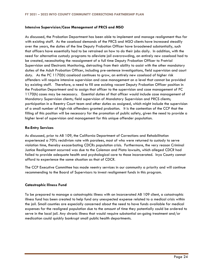#### **Intensive Supervision/Case Management of PRCS and MSO**

As discussed, the Probation Department has been able to implement and manage realignment thus far with existing staff. As the caseload demands of the PRCS and MSO clients have increased steadily over the years, the duties of the line Deputy Probation Officer have broadened substantially, such that officers have essentially had to be retrained on how to do their jobs daily. In addition, with the need for alternative custody programs to alleviate jail overcrowding, an entirely new caseload had to be created, necessitating the reassignment of a full time Deputy Probation Officer to Pretrial Supervision and Electronic Monitoring, detracting from their ability to assist with the other mandatory duties of the Adult Probation Officer, including pre-sentence investigations, field supervision and court duty. As the PC 1170(h) caseload continues to grow, an entirely new caseload of higher risk offenders will require intensive supervision and case management on a level that cannot be provided by existing staff. Therefore, a need to fill one existing vacant Deputy Probation Officer position in the Probation Department and to assign that officer to the supervision and case management of PC 1170(h) cases may be necessary. Essential duties of that officer would include case management of Mandatory Supervision clients; field supervision of Mandatory Supervision and PRCS clients; participation in a Reentry Court team and other duties as assigned, which might include the supervision of a small number of high-risk offenders granted probation. It is the contention of the CCP that the filling of this position will be necessary for the promotion of public safety, given the need to provide a higher level of supervision and management for this unique offender population.

#### **Re-Entry Services**

As discussed, prior to AB 109, the California Department of Corrections and Rehabilitation experienced a 70% recidivism rate with parolees, most of who were returned to custody to serve violation time, thereby exacerbating CDCRs population crisis. Furthermore, the very reason Criminal Justice Realignment occurred was due to the Coleman and Plata lawsuits, which alleged CDCR had failed to provide adequate health and psychological care to those incarcerated. Inyo County cannot afford to experience the same situation as that of CDCR.

The CCP Executive Committee has made reentry services in our community a priority and will continue recommending to the Board of Supervisors to invest realignment funds in this program.

#### **Catastrophic Illness Fund**

To be prepared to manage a catastrophic illness with an incarcerated AB 109 client, a catastrophic illness fund has been created to help fund any unexpected expense related to a medical crisis within the jail. Small counties are especially concerned about the need to have funds available for medical expenses for the realigned population due to the amount of time they potentially could be ordered to serve in the local jail. Any chronic illness that would require substantial on-going treatment and/or medication could quickly bankrupt small public health departments.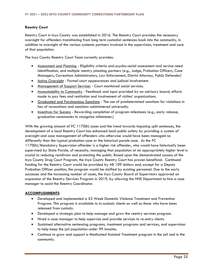#### **Reentry Court**

Reentry Court in Inyo County was established in 2016. The Reentry Court provides the necessary oversight for offenders transitioning from long term custodial sentences back into the community, in addition to oversight of the various systemic partners involved in the supervision, treatment and care of that population.

The Inyo County Reentry Court Team currently provides:

- Assessment and Planning Eligibility criteria and psycho-social assessment and service need identification, and multiple reentry planning partners (e.g., Judge, Probation Officers, Case Managers, Corrections Administrators, Law Enforcement, District Attorney, Public Defender)
- Active Oversight Formal court appearances and judicial involvement.
- Management of Support Services Court monitored social services.
- Accountability to Community Feedback and input provided by an advisory board, efforts made to pay fees and restitution and involvement of victims' organizations.
- Graduated and Parsimonious Sanctions The use of predetermined sanctions for violations in lieu of revocations and sanctions administered universally.
- Incentives for Success Rewarding completion of program milestones (e.g., early release, graduation ceremonies to recognize milestones.)

With the growing amount of PC 1170(h) cases and the trend towards imposing split sentences, the development of a local Reentry Court has enhanced local public safety by providing a system of oversight and case management of offenders who otherwise would have been managed no differently than the typical probation case or the historical parole case. As the PC 1170(h)/Mandatory Supervision offender is a higher risk offender, who would have historically been supervised by State Parole, of necessity, managing that population at an appropriately higher level is crucial to reducing recidivism and protecting the public. Based upon the demonstrated success of the Inyo County Drug Court Program, the Inyo County Reentry Court has proven beneficial. Continued funding for the Reentry Court would be provided by AB 109 dollars and, except for a Deputy Probation Officer position, the program would be staffed by existing personnel. Due to the early successes and the increasing number of cases, the Inyo County Board of Supervisors approved an expansion of the Reentry Services Program in 2019, by allowing the HHS Department to hire a case manager to assist the Reentry Coordinator.

#### **ACCOMPLISHMENTS**

- Developed and implemented a 52 Week Domestic Violence Treatment and Prevention Program. This program is available to in-custody clients as well as those who have been released from custody.
- Developed a strategic plan to help manage and grow the reentry services program.
- Hired a case manager to help supervise and provide services to re-entry clients.
- Sustained alternative sentencing programs, treatment programs and services, and supervision to help keep the jail population under 99 inmates.
- Continue to grow and support a Medicated Assisted Treatment program in the jail and in the community.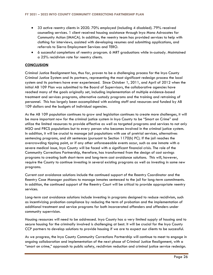- 33 active reentry clients in 2020. 70% employed (including 4 disabled). 79% received counseling services. 1 client received housing assistance through Inyo Mono Advocates for Community Action (IMACA). In addition, the reentry team has provided services to help with clothing for interviews, assisted with developing resumes and submitting applications, and referrals to Sierra Employment Services and TERO.
- 6 successful completions of reentry program. 6 MRT graduations while in-custody. Maintained a 25% recidivism rate for reentry clients.

#### **CONCLUSION**

Criminal Justice Realignment has, thus far, proven to be a challenging process for the Inyo County Criminal Justice System and its partners, representing the most significant redesign process the local system and its partners have ever experienced. Since October 1, 2011, and April of 2012 when the initial AB 109 Plan was submitted to the Board of Supervisors, the collaborative agencies have reached many of the goals originally set, including implementation of multiple evidence-based treatment and services programs, alternative custody programs and the training and retraining of personnel. This has largely been accomplished with existing staff and resources and funded by AB 109 dollars and the budgets of individual agencies.

As the AB 109 population continues to grow and legislation continues to create more challenges, it will be more important now for the criminal justice system in Inyo County to be "Smart on Crime" and utilize the limited resources to provide effective as well as targeted programs and services to not only MSO and PRCS populations but to every person who becomes involved in the criminal justice system. In addition, it will be crucial to manage jail populations with use of pretrial services, alternatives sentencing programs, and slit sentences (pursuant to Section 1170(h) PC). If the jail reaches the overcrowding tipping point, or if any other unforeseeable events occur, such as one inmate with a severe medical issue, Inyo County will be faced with a significant financial crisis. The role of the Community Corrections Partnership, therefore, has transformed from the design of cost savings programs to creating both short-term and long-term cost avoidance solutions. This will, however, require the County to continue investing in several existing programs as well as investing in some new programs.

Current cost avoidance solutions include the continued support of the Reentry Coordinator and the Reentry Case Manager positions to manage inmates sentenced to the jail for long-term commitments. In addition, the continued support of the Reentry Court will be critical to provide appropriate reentry services.

Long-term cost avoidance solutions include investing in programs designed to reduce recidivism, such as incentivizing probation compliance by reducing the term of probation and the implementation of additional treatment and service programs for both incarcerated offenders and offenders under community supervision.

Housing resources will need to be addressed. Inyo County has a very limited supply of housing and to secure housing for the criminally involved is challenging at best. It will be crucial for the Inyo County CCP partners to develop solutions to provide housing if we are to expect our clients to be successful.

As we progress, the Inyo County Community Corrections Partnership will continue to meet to engage in ongoing collaboration and implementation of the next phase of Criminal Justice Realignment, with a "smart on crime," approach to public safety, recidivism reduction and criminal justice service redesign.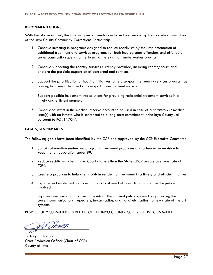#### **RECOMMENDATIONS**

With the above in mind, the following recommendations have been made by the Executive Committee of the Inyo County Community Corrections Partnership:

- 1. Continue investing in programs designed to reduce recidivism by the; implementation of additional treatment and services programs for both incarcerated offenders and offenders under community supervision; enhancing the existing inmate worker program.
- 2. Continue supporting the reentry services currently provided, including reentry court, and explore the possible expansion of personnel and services.
- 3. Support the prioritization of housing initiatives to help support the reentry services program as housing has been identified as a major barrier to client success.
- 4. Support possible investment into solutions for providing residential treatment services in a timely and efficient manner.
- 5. Continue to invest in the medical reserve account to be used in case of a catastrophic medical issue(s) with an inmate who is sentenced to a long-term commitment in the Inyo County Jail pursuant to PC §1170(h).

#### **GOALS/BENCHMARKS**

The following goals have been identified by the CCP and approved by the CCP Executive Committee:

- 1. Sustain alternative sentencing programs, treatment programs and offender supervision to keep the jail population under 99.
- 2. Reduce recidivism rates in Inyo County to less than the State CDCR parole average rate of 70%.
- 3. Create a program to help clients obtain residential treatment in a timely and efficient manner.
- 4. Explore and implement solutions to the critical need of providing housing for the justice involved.
- 5. Improve communications across all levels of the criminal justice system by upgrading the current communications (repeaters, in-car radios, and handheld radios) to new state of the art systems.

RESPECTFULLY SUBMITTED ON BEHALF OF THE INYO COUNTY CCP EXECUTIVE COMMITTEE,

\_\_\_\_\_\_\_\_\_\_\_\_\_\_\_\_\_\_\_\_\_\_\_\_\_\_\_\_\_\_\_\_

Jeffrey L. Thomson Chief Probation Officer (Chair of CCP) County of Inyo